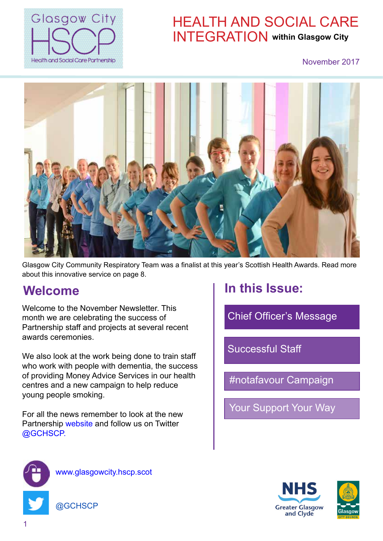

# HEALTH AND SOCIAL CARE INTEGRATION **within Glasgow City**

#### November 2017



Glasgow City Community Respiratory Team was a finalist at this year's Scottish Health Awards. Read more about this innovative service on [page 8.](#page-7-0)

#### **Welcome**

Welcome to the November Newsletter. This month we are celebrating the success of Partnership staff and projects at several recent awards ceremonies.

We also look at the work being done to train staff who work with people with dementia, the success of providing Money Advice Services in our health centres and a new campaign to help reduce young people smoking.

For all the news remember to look at the new Partnership [website](https://glasgowcity.hscp.scot/) and follow us on Twitter [@GCHSCP.](https://twitter.com/gchscp?lang=en)

# **In this Issue:**

[Chief Officer's Message](#page-2-0)

[Successful Staff](#page-4-0)

[#notafavour Campaign](#page-16-0)

[Your Support Your Way](#page-20-0)



[www.glasgowcity.hscp.scot](https://glasgowcity.hscp.scot/)

[@GCHSCP](https://twitter.com/gchscp?lang=en)



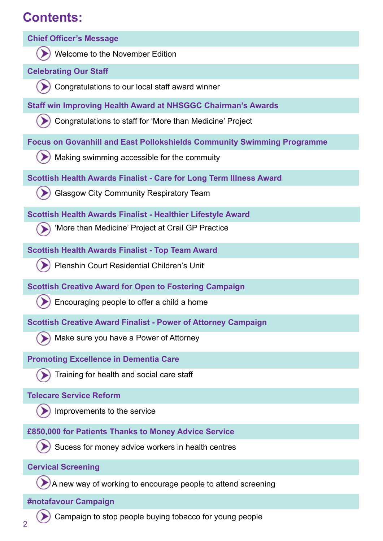# **Contents:**

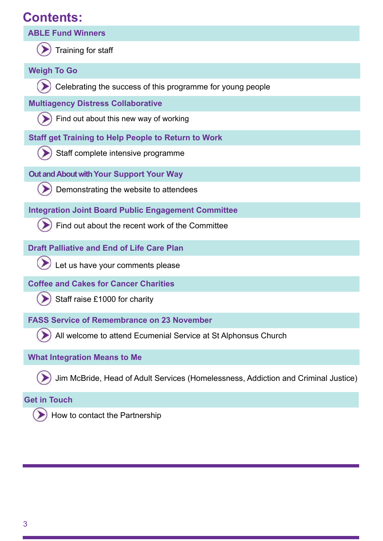## <span id="page-2-0"></span>**Contents:**



#### **[Get in Touch](#page-24-0)**

How to contact the Partnership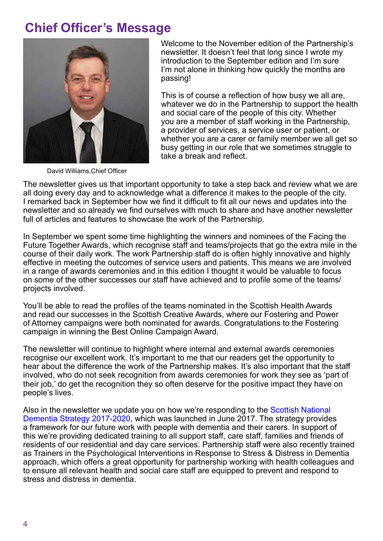## <span id="page-3-0"></span>**[Chief Officer's Message](#page-2-0)**



David Williams,Chief Officer

Welcome to the November edition of the Partnership's newsletter. It doesn't feel that long since I wrote my introduction to the September edition and I'm sure I'm not alone in thinking how quickly the months are passing!

This is of course a reflection of how busy we all are, whatever we do in the Partnership to support the health and social care of the people of this city. Whether you are a member of staff working in the Partnership, a provider of services, a service user or patient, or whether you are a carer or family member we all get so busy getting in our role that we sometimes struggle to take a break and reflect.

The newsletter gives us that important opportunity to take a step back and review what we are all doing every day and to acknowledge what a difference it makes to the people of the city. I remarked back in September how we find it difficult to fit all our news and updates into the newsletter and so already we find ourselves with much to share and have another newsletter full of articles and features to showcase the work of the Partnership.

In September we spent some time highlighting the winners and nominees of the Facing the Future Together Awards, which recognise staff and teams/projects that go the extra mile in the course of their daily work. The work Partnership staff do is often highly innovative and highly effective in meeting the outcomes of service users and patients. This means we are involved in a range of awards ceremonies and in this edition I thought it would be valuable to focus on some of the other successes our staff have achieved and to profile some of the teams/ projects involved.

You'll be able to read the profiles of the teams nominated in the Scottish Health Awards and read our successes in the Scottish Creative Awards, where our Fostering and Power of Attorney campaigns were both nominated for awards. Congratulations to the Fostering campaign in winning the Best Online Campaign Award.

The newsletter will continue to highlight where internal and external awards ceremonies recognise our excellent work. It's important to me that our readers get the opportunity to hear about the difference the work of the Partnership makes. It's also important that the staff involved, who do not seek recognition from awards ceremonies for work they see as 'part of their job,' do get the recognition they so often deserve for the positive impact they have on people's lives.

Also in the newsletter we update you on how we're responding to the [Scottish National](http://www.gov.scot/dementiastrategy)  [Dementia Strategy 2017-2020,](http://www.gov.scot/dementiastrategy) which was launched in June 2017. The strategy provides a framework for our future work with people with dementia and their carers. In support of this we're providing dedicated training to all support staff, care staff, families and friends of residents of our residential and day care services. Partnership staff were also recently trained as Trainers in the Psychological Interventions in Response to Stress & Distress in Dementia approach, which offers a great opportunity for partnership working with health colleagues and to ensure all relevant health and social care staff are equipped to prevent and respond to stress and distress in dementia.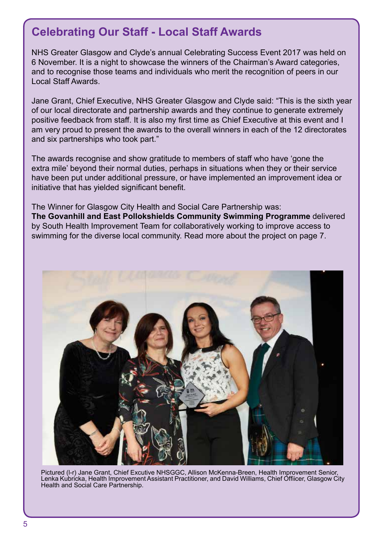#### <span id="page-4-0"></span>**Celebrating Our Staff - Local Staff Awards**

NHS Greater Glasgow and Clyde's annual Celebrating Success Event 2017 was held on 6 November. It is a night to showcase the winners of the Chairman's Award categories, and to recognise those teams and individuals who merit the recognition of peers in our Local Staff Awards.

Jane Grant, Chief Executive, NHS Greater Glasgow and Clyde said: "This is the sixth year of our local directorate and partnership awards and they continue to generate extremely positive feedback from staff. It is also my first time as Chief Executive at this event and I am very proud to present the awards to the overall winners in each of the 12 directorates and six partnerships who took part."

The awards recognise and show gratitude to members of staff who have 'gone the extra mile' beyond their normal duties, perhaps in situations when they or their service have been put under additional pressure, or have implemented an improvement idea or initiative that has yielded significant benefit.

The Winner for Glasgow City Health and Social Care Partnership was: **The Govanhill and East Pollokshields Community Swimming Programme** delivered by South Health Improvement Team for collaboratively working to improve access to swimming for the diverse local community. Read more about the project on page 7.



Pictured (l-r) Jane Grant, Chief Excutive NHSGGC, Allison McKenna-Breen, Health Improvement Senior, Lenka Kubricka, Health Improvement Assistant Practitioner, and David Williams, Chief Offiicer, Glasgow City Health and Social Care Partnership.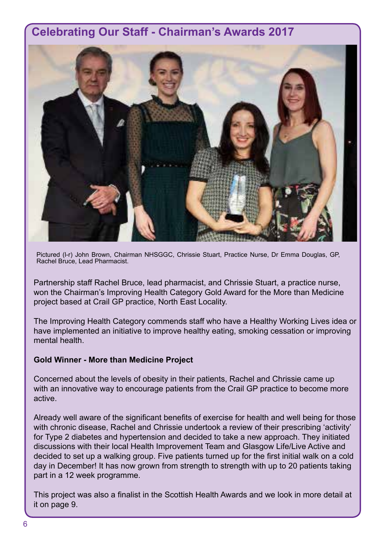#### <span id="page-5-0"></span>**Celebrating Our Staff - Chairman's Awards 2017**



Pictured (l-r) John Brown, Chairman NHSGGC, Chrissie Stuart, Practice Nurse, Dr Emma Douglas, GP, Rachel Bruce, Lead Pharmacist.

Partnership staff Rachel Bruce, lead pharmacist, and Chrissie Stuart, a practice nurse, won the Chairman's Improving Health Category Gold Award for the More than Medicine project based at Crail GP practice, North East Locality.

The Improving Health Category commends staff who have a Healthy Working Lives idea or have implemented an initiative to improve healthy eating, smoking cessation or improving mental health.

#### **Gold Winner - More than Medicine Project**

Concerned about the levels of obesity in their patients, Rachel and Chrissie came up with an innovative way to encourage patients from the Crail GP practice to become more active.

Already well aware of the significant benefits of exercise for health and well being for those with chronic disease, Rachel and Chrissie undertook a review of their prescribing 'activity' for Type 2 diabetes and hypertension and decided to take a new approach. They initiated discussions with their local Health Improvement Team and Glasgow Life/Live Active and decided to set up a walking group. Five patients turned up for the first initial walk on a cold day in December! It has now grown from strength to strength with up to 20 patients taking part in a 12 week programme.

This project was also a finalist in the Scottish Health Awards and we look in more detail at it on page 9.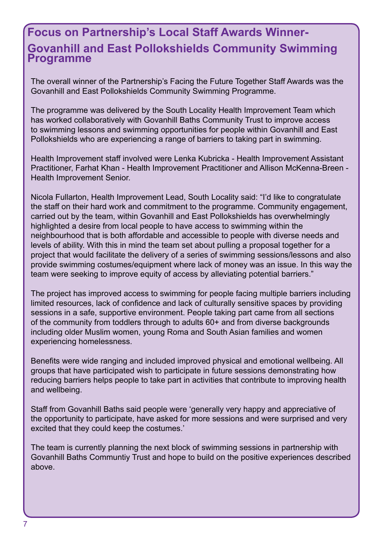#### <span id="page-6-0"></span>**Focus on Partnership's Local Staff Awards Winner-Govanhill and East Pollokshields Community Swimming Programme**

The overall winner of the Partnership's Facing the Future Together Staff Awards was the Govanhill and East Pollokshields Community Swimming Programme.

The programme was delivered by the South Locality Health Improvement Team which has worked collaboratively with Govanhill Baths Community Trust to improve access to swimming lessons and swimming opportunities for people within Govanhill and East Pollokshields who are experiencing a range of barriers to taking part in swimming.

Health Improvement staff involved were Lenka Kubricka - Health Improvement Assistant Practitioner, Farhat Khan - Health Improvement Practitioner and Allison McKenna-Breen - Health Improvement Senior.

Nicola Fullarton, Health Improvement Lead, South Locality said: "I'd like to congratulate the staff on their hard work and commitment to the programme. Community engagement, carried out by the team, within Govanhill and East Pollokshields has overwhelmingly highlighted a desire from local people to have access to swimming within the neighbourhood that is both affordable and accessible to people with diverse needs and levels of ability. With this in mind the team set about pulling a proposal together for a project that would facilitate the delivery of a series of swimming sessions/lessons and also provide swimming costumes/equipment where lack of money was an issue. In this way the team were seeking to improve equity of access by alleviating potential barriers."

The project has improved access to swimming for people facing multiple barriers including limited resources, lack of confidence and lack of culturally sensitive spaces by providing sessions in a safe, supportive environment. People taking part came from all sections of the community from toddlers through to adults 60+ and from diverse backgrounds including older Muslim women, young Roma and South Asian families and women experiencing homelessness.

Benefits were wide ranging and included improved physical and emotional wellbeing. All groups that have participated wish to participate in future sessions demonstrating how reducing barriers helps people to take part in activities that contribute to improving health and wellbeing.

Staff from Govanhill Baths said people were 'generally very happy and appreciative of the opportunity to participate, have asked for more sessions and were surprised and very excited that they could keep the costumes.'

The team is currently planning the next block of swimming sessions in partnership with Govanhill Baths Communtiy Trust and hope to build on the positive experiences described above.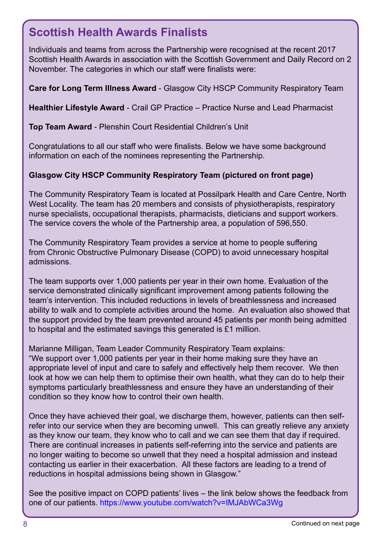## <span id="page-7-0"></span>**Scottish Health Awards Finalists**

Individuals and teams from across the Partnership were recognised at the recent 2017 Scottish Health Awards in association with the Scottish Government and Daily Record on 2 November. The categories in which our staff were finalists were:

**Care for Long Term Illness Award** - Glasgow City HSCP Community Respiratory Team

**Healthier Lifestyle Award** - Crail GP Practice – Practice Nurse and Lead Pharmacist

**Top Team Award** - Plenshin Court Residential Children's Unit

Congratulations to all our staff who were finalists. Below we have some background information on each of the nominees representing the Partnership.

#### **Glasgow City HSCP Community Respiratory Team (pictured on front page)**

The Community Respiratory Team is located at Possilpark Health and Care Centre, North West Locality. The team has 20 members and consists of physiotherapists, respiratory nurse specialists, occupational therapists, pharmacists, dieticians and support workers. The service covers the whole of the Partnership area, a population of 596,550.

The Community Respiratory Team provides a service at home to people suffering from Chronic Obstructive Pulmonary Disease (COPD) to avoid unnecessary hospital admissions.

The team supports over 1,000 patients per year in their own home. Evaluation of the service demonstrated clinically significant improvement among patients following the team's intervention. This included reductions in levels of breathlessness and increased ability to walk and to complete activities around the home. An evaluation also showed that the support provided by the team prevented around 45 patients per month being admitted to hospital and the estimated savings this generated is £1 million.

Marianne Milligan, Team Leader Community Respiratory Team explains: "We support over 1,000 patients per year in their home making sure they have an appropriate level of input and care to safely and effectively help them recover. We then look at how we can help them to optimise their own health, what they can do to help their symptoms particularly breathlessness and ensure they have an understanding of their condition so they know how to control their own health.

Once they have achieved their goal, we discharge them, however, patients can then selfrefer into our service when they are becoming unwell. This can greatly relieve any anxiety as they know our team, they know who to call and we can see them that day if required. There are continual increases in patients self-referring into the service and patients are no longer waiting to become so unwell that they need a hospital admission and instead contacting us earlier in their exacerbation. All these factors are leading to a trend of reductions in hospital admissions being shown in Glasgow."

See the positive impact on COPD patients' lives – the link below shows the feedback from one of our patients.<https://www.youtube.com/watch?v=IMJAbWCa3Wg>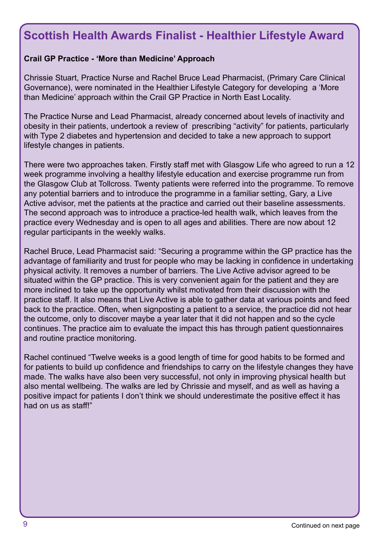#### <span id="page-8-0"></span>**Scottish Health Awards Finalist - Healthier Lifestyle Award**

#### **Crail GP Practice - 'More than Medicine' Approach**

Chrissie Stuart, Practice Nurse and Rachel Bruce Lead Pharmacist, (Primary Care Clinical Governance), were nominated in the Healthier Lifestyle Category for developing a 'More than Medicine' approach within the Crail GP Practice in North East Locality.

The Practice Nurse and Lead Pharmacist, already concerned about levels of inactivity and obesity in their patients, undertook a review of prescribing "activity" for patients, particularly with Type 2 diabetes and hypertension and decided to take a new approach to support lifestyle changes in patients.

There were two approaches taken. Firstly staff met with Glasgow Life who agreed to run a 12 week programme involving a healthy lifestyle education and exercise programme run from the Glasgow Club at Tollcross. Twenty patients were referred into the programme. To remove any potential barriers and to introduce the programme in a familiar setting, Gary, a Live Active advisor, met the patients at the practice and carried out their baseline assessments. The second approach was to introduce a practice-led health walk, which leaves from the practice every Wednesday and is open to all ages and abilities. There are now about 12 regular participants in the weekly walks.

Rachel Bruce, Lead Pharmacist said: "Securing a programme within the GP practice has the advantage of familiarity and trust for people who may be lacking in confidence in undertaking physical activity. It removes a number of barriers. The Live Active advisor agreed to be situated within the GP practice. This is very convenient again for the patient and they are more inclined to take up the opportunity whilst motivated from their discussion with the practice staff. It also means that Live Active is able to gather data at various points and feed back to the practice. Often, when signposting a patient to a service, the practice did not hear the outcome, only to discover maybe a year later that it did not happen and so the cycle continues. The practice aim to evaluate the impact this has through patient questionnaires and routine practice monitoring.

Rachel continued "Twelve weeks is a good length of time for good habits to be formed and for patients to build up confidence and friendships to carry on the lifestyle changes they have made. The walks have also been very successful, not only in improving physical health but also mental wellbeing. The walks are led by Chrissie and myself, and as well as having a positive impact for patients I don't think we should underestimate the positive effect it has had on us as staff!"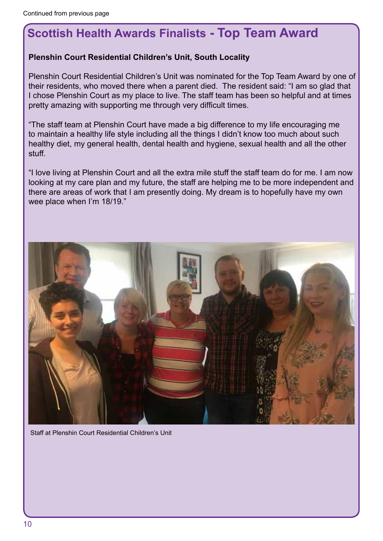## <span id="page-9-0"></span>**Scottish Health Awards Finalists - Top Team Award**

#### **Plenshin Court Residential Children's Unit, South Locality**

Plenshin Court Residential Children's Unit was nominated for the Top Team Award by one of their residents, who moved there when a parent died. The resident said: "I am so glad that I chose Plenshin Court as my place to live. The staff team has been so helpful and at times pretty amazing with supporting me through very difficult times.

"The staff team at Plenshin Court have made a big difference to my life encouraging me to maintain a healthy life style including all the things I didn't know too much about such healthy diet, my general health, dental health and hygiene, sexual health and all the other stuff.

"I love living at Plenshin Court and all the extra mile stuff the staff team do for me. I am now looking at my care plan and my future, the staff are helping me to be more independent and there are areas of work that I am presently doing. My dream is to hopefully have my own wee place when I'm 18/19."

![](_page_9_Picture_6.jpeg)

Staff at Plenshin Court Residential Children's Unit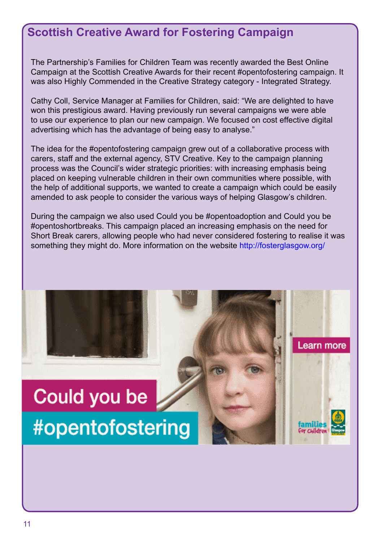#### <span id="page-10-0"></span>**Scottish Creative Award for Fostering Campaign**

The Partnership's Families for Children Team was recently awarded the Best Online Campaign at the Scottish Creative Awards for their recent #opentofostering campaign. It was also Highly Commended in the Creative Strategy category - Integrated Strategy.

Cathy Coll, Service Manager at Families for Children, said: "We are delighted to have won this prestigious award. Having previously run several campaigns we were able to use our experience to plan our new campaign. We focused on cost effective digital advertising which has the advantage of being easy to analyse."

The idea for the #opentofostering campaign grew out of a collaborative process with carers, staff and the external agency, STV Creative. Key to the campaign planning process was the Council's wider strategic priorities: with increasing emphasis being placed on keeping vulnerable children in their own communities where possible, with the help of additional supports, we wanted to create a campaign which could be easily amended to ask people to consider the various ways of helping Glasgow's children.

During the campaign we also used Could you be #opentoadoption and Could you be #opentoshortbreaks. This campaign placed an increasing emphasis on the need for Short Break carers, allowing people who had never considered fostering to realise it was something they might do. More information on the website<http://fosterglasgow.org/>

Learn more

# Could you be #opentofostering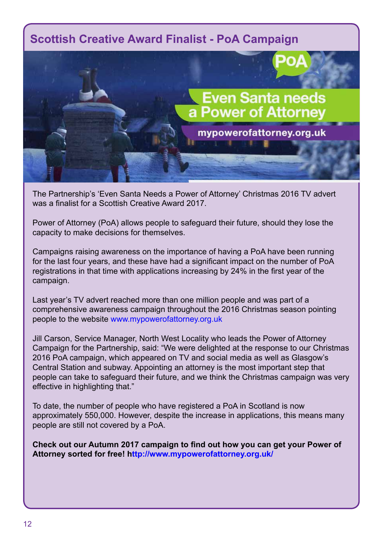#### <span id="page-11-0"></span>**Scottish Creative Award Finalist - PoA Campaign**

![](_page_11_Picture_1.jpeg)

The Partnership's 'Even Santa Needs a Power of Attorney' Christmas 2016 TV advert was a finalist for a Scottish Creative Award 2017.

Power of Attorney (PoA) allows people to safeguard their future, should they lose the capacity to make decisions for themselves.

Campaigns raising awareness on the importance of having a PoA have been running for the last four years, and these have had a significant impact on the number of PoA registrations in that time with applications increasing by 24% in the first year of the campaign.

Last year's TV advert reached more than one million people and was part of a comprehensive awareness campaign throughout the 2016 Christmas season pointing people to the website [www.mypowerofattorney.org.uk](http://www.mypowerofattorney.org.uk/)

Jill Carson, Service Manager, North West Locality who leads the Power of Attorney Campaign for the Partnership, said: "We were delighted at the response to our Christmas 2016 PoA campaign, which appeared on TV and social media as well as Glasgow's Central Station and subway. Appointing an attorney is the most important step that people can take to safeguard their future, and we think the Christmas campaign was very effective in highlighting that."

To date, the number of people who have registered a PoA in Scotland is now approximately 550,000. However, despite the increase in applications, this means many people are still not covered by a PoA.

**Check out our Autumn 2017 campaign to find out how you can get your Power of Attorney sorted for free! <http://www.mypowerofattorney.org.uk/>**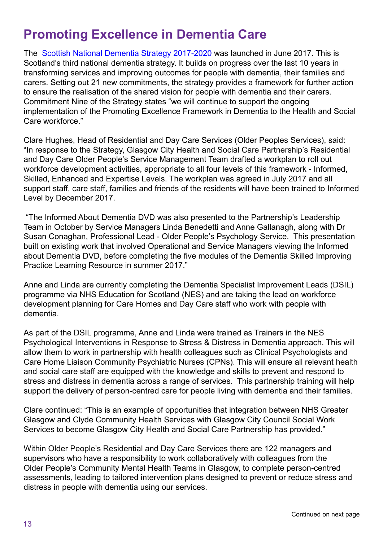# <span id="page-12-0"></span>**Promoting Excellence in Dementia Care**

The [Scottish National Dementia Strategy 2017-2020](http://www.gov.scot/dementiastrategy) was launched in June 2017. This is Scotland's third national dementia strategy. It builds on progress over the last 10 years in transforming services and improving outcomes for people with dementia, their families and carers. Setting out 21 new commitments, the strategy provides a framework for further action to ensure the realisation of the shared vision for people with dementia and their carers. Commitment Nine of the Strategy states "we will continue to support the ongoing implementation of the Promoting Excellence Framework in Dementia to the Health and Social Care workforce."

Clare Hughes, Head of Residential and Day Care Services (Older Peoples Services), said: "In response to the Strategy, Glasgow City Health and Social Care Partnership's Residential and Day Care Older People's Service Management Team drafted a workplan to roll out workforce development activities, appropriate to all four levels of this framework - Informed, Skilled, Enhanced and Expertise Levels. The workplan was agreed in July 2017 and all support staff, care staff, families and friends of the residents will have been trained to Informed Level by December 2017.

 "The Informed About Dementia DVD was also presented to the Partnership's Leadership Team in October by Service Managers Linda Benedetti and Anne Gallanagh, along with Dr Susan Conaghan, Professional Lead - Older People's Psychology Service. This presentation built on existing work that involved Operational and Service Managers viewing the Informed about Dementia DVD, before completing the five modules of the Dementia Skilled Improving Practice Learning Resource in summer 2017."

Anne and Linda are currently completing the Dementia Specialist Improvement Leads (DSIL) programme via NHS Education for Scotland (NES) and are taking the lead on workforce development planning for Care Homes and Day Care staff who work with people with dementia.

As part of the DSIL programme, Anne and Linda were trained as Trainers in the NES Psychological Interventions in Response to Stress & Distress in Dementia approach. This will allow them to work in partnership with health colleagues such as Clinical Psychologists and Care Home Liaison Community Psychiatric Nurses (CPNs). This will ensure all relevant health and social care staff are equipped with the knowledge and skills to prevent and respond to stress and distress in dementia across a range of services. This partnership training will help support the delivery of person-centred care for people living with dementia and their families.

Clare continued: "This is an example of opportunities that integration between NHS Greater Glasgow and Clyde Community Health Services with Glasgow City Council Social Work Services to become Glasgow City Health and Social Care Partnership has provided."

Within Older People's Residential and Day Care Services there are 122 managers and supervisors who have a responsibility to work collaboratively with colleagues from the Older People's Community Mental Health Teams in Glasgow, to complete person-centred assessments, leading to tailored intervention plans designed to prevent or reduce stress and distress in people with dementia using our services.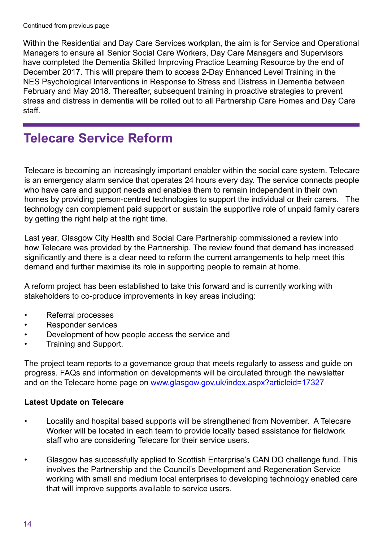<span id="page-13-0"></span>Within the Residential and Day Care Services workplan, the aim is for Service and Operational Managers to ensure all Senior Social Care Workers, Day Care Managers and Supervisors have completed the Dementia Skilled Improving Practice Learning Resource by the end of December 2017. This will prepare them to access 2-Day Enhanced Level Training in the NES Psychological Interventions in Response to Stress and Distress in Dementia between February and May 2018. Thereafter, subsequent training in proactive strategies to prevent stress and distress in dementia will be rolled out to all Partnership Care Homes and Day Care staff.

# **Telecare Service Reform**

Telecare is becoming an increasingly important enabler within the social care system. Telecare is an emergency alarm service that operates 24 hours every day. The service connects people who have care and support needs and enables them to remain independent in their own homes by providing person-centred technologies to support the individual or their carers. The technology can complement paid support or sustain the supportive role of unpaid family carers by getting the right help at the right time.

Last year, Glasgow City Health and Social Care Partnership commissioned a review into how Telecare was provided by the Partnership. The review found that demand has increased significantly and there is a clear need to reform the current arrangements to help meet this demand and further maximise its role in supporting people to remain at home.

A reform project has been established to take this forward and is currently working with stakeholders to co-produce improvements in key areas including:

- Referral processes
- Responder services
- Development of how people access the service and
- Training and Support.

The project team reports to a governance group that meets regularly to assess and guide on progress. FAQs and information on developments will be circulated through the newsletter and on the Telecare home page on [www.glasgow.gov.uk/index.aspx?articleid=17327](https://www.glasgow.gov.uk/index.aspx?articleid=17327)

#### **Latest Update on Telecare**

- Locality and hospital based supports will be strengthened from November. A Telecare Worker will be located in each team to provide locally based assistance for fieldwork staff who are considering Telecare for their service users.
- Glasgow has successfully applied to Scottish Enterprise's CAN DO challenge fund. This involves the Partnership and the Council's Development and Regeneration Service working with small and medium local enterprises to developing technology enabled care that will improve supports available to service users.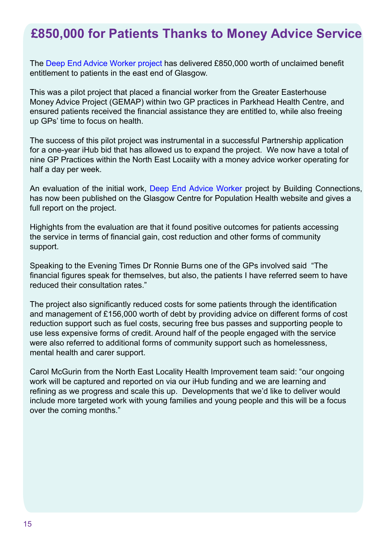# <span id="page-14-0"></span>**£850,000 for Patients Thanks to Money Advice Service**

The [Deep End Advice Worker project](http://www.gcph.co.uk/publications/728_the_deep_end_advice_worker_project_embedding_advice_in_general_practice) has delivered £850,000 worth of unclaimed benefit entitlement to patients in the east end of Glasgow.

This was a pilot project that placed a financial worker from the Greater Easterhouse Money Advice Project (GEMAP) within two GP practices in Parkhead Health Centre, and ensured patients received the financial assistance they are entitled to, while also freeing up GPs' time to focus on health.

The success of this pilot project was instrumental in a successful Partnership application for a one-year iHub bid that has allowed us to expand the project. We now have a total of nine GP Practices within the North East Locaiity with a money advice worker operating for half a day per week.

An evaluation of the initial work[, Deep End Advice Worker proje](http://www.gcph.co.uk/publications/728_the_deep_end_advice_worker_project_embedding_advice_in_general_practice)ct by Building Connections, has now been published on the [Glasgow Centre for Population Health website a](http://www.gcph.co.uk/publications/728_the_deep_end_advice_worker_project_embedding_advice_in_general_practice)nd gives a full report on the project.

Highights from the evaluation are that it found positive outcomes for patients accessing the service in terms of financial gain, cost reduction and other forms of community support.

Speaking to the Evening Times Dr Ronnie Burns one of the GPs involved said "The financial figures speak for themselves, but also, the patients I have referred seem to have reduced their consultation rates."

The project also significantly reduced costs for some patients through the identification and management of £156,000 worth of debt by providing advice on different forms of cost reduction support such as fuel costs, securing free bus passes and supporting people to use less expensive forms of credit. Around half of the people engaged with the service were also referred to additional forms of community support such as homelessness, mental health and carer support.

Carol McGurin from the North East Locality Health Improvement team said: "our ongoing work will be captured and reported on via our iHub funding and we are learning and refining as we progress and scale this up. Developments that we'd like to deliver would include more targeted work with young families and young people and this will be a focus over the coming months."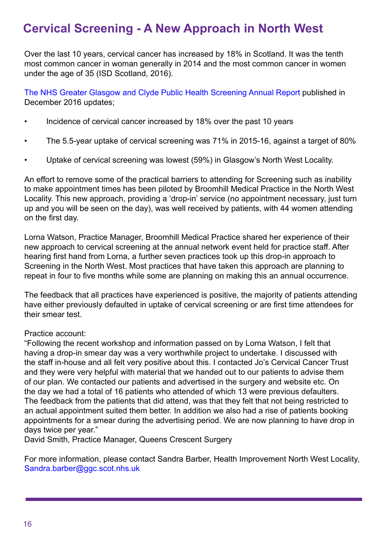## <span id="page-15-0"></span>**Cervical Screening - A New Approach in North West**

Over the last 10 years, cervical cancer has increased by 18% in Scotland. It was the tenth most common cancer in woman generally in 2014 and the most common cancer in women under the age of 35 (ISD Scotland, 2016).

The [NHS Greater Glasgow and Clyde Public Health Screening Annual Report p](http://www.nhsggc.org.uk/media/240296/ph_screening_report_2015-16.pdf)ublished in December 2016 updates;

- Incidence of cervical cancer increased by 18% over the past 10 years
- The 5.5-year uptake of cervical screening was 71% in 2015-16, against a target of 80%
- Uptake of cervical screening was lowest (59%) in Glasgow's North West Locality.

An effort to remove some of the practical barriers to attending for Screening such as inability to make appointment times has been piloted by Broomhill Medical Practice in the North West Locality. This new approach, providing a 'drop-in' service (no appointment necessary, just turn up and you will be seen on the day), was well received by patients, with 44 women attending on the first day.

Lorna Watson, Practice Manager, Broomhill Medical Practice shared her experience of their new approach to cervical screening at the annual network event held for practice staff. After hearing first hand from Lorna, a further seven practices took up this drop-in approach to Screening in the North West. Most practices that have taken this approach are planning to repeat in four to five months while some are planning on making this an annual occurrence.

The feedback that all practices have experienced is positive, the majority of patients attending have either previously defaulted in uptake of cervical screening or are first time attendees for their smear test.

#### Practice account:

"Following the recent workshop and information passed on by Lorna Watson, I felt that having a drop-in smear day was a very worthwhile project to undertake. I discussed with the staff in-house and all felt very positive about this. I contacted Jo's Cervical Cancer Trust and they were very helpful with material that we handed out to our patients to advise them of our plan. We contacted our patients and advertised in the surgery and website etc. On the day we had a total of 16 patients who attended of which 13 were previous defaulters. The feedback from the patients that did attend, was that they felt that not being restricted to an actual appointment suited them better. In addition we also had a rise of patients booking appointments for a smear during the advertising period. We are now planning to have drop in days twice per year."

David Smith, Practice Manager, Queens Crescent Surgery

For more information, please contact Sandra Barber, Health Improvement North West Locality, [Sandra.barber@ggc.scot.nhs.uk](mailto:sandra.barber@ggc.scot.nhs.uk)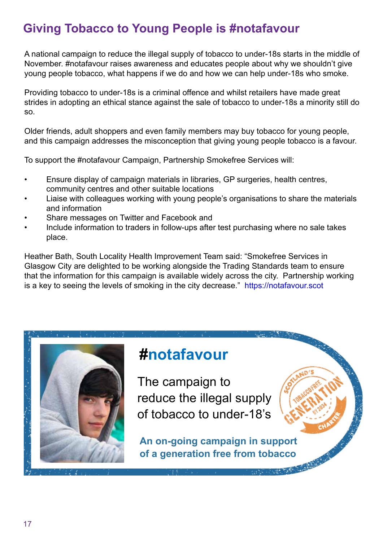## <span id="page-16-0"></span>**Giving Tobacco to Young People is #notafavour**

A national campaign to reduce the illegal supply of tobacco to under-18s starts in the middle of November. #notafavour raises awareness and educates people about why we shouldn't give young people tobacco, what happens if we do and how we can help under-18s who smoke.

Providing tobacco to under-18s is a criminal offence and whilst retailers have made great strides in adopting an ethical stance against the sale of tobacco to under-18s a minority still do so.

Older friends, adult shoppers and even family members may buy tobacco for young people, and this campaign addresses the misconception that giving young people tobacco is a favour.

To support the #notafavour Campaign, Partnership Smokefree Services will:

- Ensure display of campaign materials in libraries, GP surgeries, health centres, community centres and other suitable locations
- Liaise with colleagues working with young people's organisations to share the materials and information
- Share messages on Twitter and Facebook and
- Include information to traders in follow-ups after test purchasing where no sale takes place.

Heather Bath, South Locality Health Improvement Team said: "Smokefree Services in Glasgow City are delighted to be working alongside the Trading Standards team to ensure that the information for this campaign is available widely across the city. Partnership working is a key to seeing the levels of smoking in the city decrease." [https://notafavour.scot](https://notafavour.scot/)

![](_page_16_Picture_10.jpeg)

# **#notafavour**

The campaign to reduce the illegal supply of tobacco to under-18's

**An on-going campaign in support of a generation free from tobacco**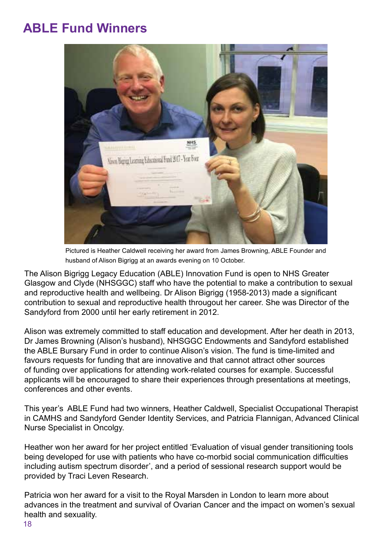# <span id="page-17-0"></span>**ABLE Fund Winners**

![](_page_17_Picture_1.jpeg)

Pictured is Heather Caldwell receiving her award from James Browning, ABLE Founder and husband of Alison Bigrigg at an awards evening on 10 October.

The Alison Bigrigg Legacy Education (ABLE) Innovation Fund is open to NHS Greater Glasgow and Clyde (NHSGGC) staff who have the potential to make a contribution to sexual and reproductive health and wellbeing. Dr Alison Bigrigg (1958-2013) made a significant contribution to sexual and reproductive health througout her career. She was Director of the Sandyford from 2000 until her early retirement in 2012.

Alison was extremely committed to staff education and development. After her death in 2013, Dr James Browning (Alison's husband), NHSGGC Endowments and Sandyford established the ABLE Bursary Fund in order to continue Alison's vision. The fund is time-limited and favours requests for funding that are innovative and that cannot attract other sources of funding over applications for attending work-related courses for example. Successful applicants will be encouraged to share their experiences through presentations at meetings, conferences and other events.

This year's ABLE Fund had two winners, Heather Caldwell, Specialist Occupational Therapist in CAMHS and Sandyford Gender Identity Services, and Patricia Flannigan, Advanced Clinical Nurse Specialist in Oncolgy.

Heather won her award for her project entitled 'Evaluation of visual gender transitioning tools being developed for use with patients who have co-morbid social communication difficulties including autism spectrum disorder', and a period of sessional research support would be provided by Traci Leven Research.

Patricia won her award for a visit to the Royal Marsden in London to learn more about advances in the treatment and survival of Ovarian Cancer and the impact on women's sexual health and sexuality.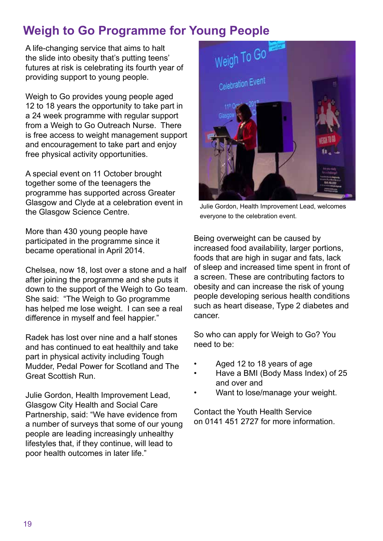# <span id="page-18-0"></span>**Weigh to Go Programme for Young People**

A life-changing service that aims to halt the slide into obesity that's putting teens' futures at risk is celebrating its fourth year of providing support to young people.

Weigh to Go provides young people aged 12 to 18 years the opportunity to take part in a 24 week programme with regular support from a Weigh to Go Outreach Nurse. There is free access to weight management support and encouragement to take part and enjoy free physical activity opportunities.

A special event on 11 October brought together some of the teenagers the programme has supported across Greater Glasgow and Clyde at a celebration event in the Glasgow Science Centre.

More than 430 young people have participated in the programme since it became operational in April 2014.

Chelsea, now 18, lost over a stone and a half after joining the programme and she puts it down to the support of the Weigh to Go team. She said: "The Weigh to Go programme has helped me lose weight. I can see a real difference in myself and feel happier."

Radek has lost over nine and a half stones and has continued to eat healthily and take part in physical activity including Tough Mudder, Pedal Power for Scotland and The Great Scottish Run.

Julie Gordon, Health Improvement Lead, Glasgow City Health and Social Care Partnership, said: "We have evidence from a number of surveys that some of our young people are leading increasingly unhealthy lifestyles that, if they continue, will lead to poor health outcomes in later life."

![](_page_18_Picture_8.jpeg)

Julie Gordon, Health Improvement Lead, welcomes everyone to the celebration event.

Being overweight can be caused by increased food availability, larger portions, foods that are high in sugar and fats, lack of sleep and increased time spent in front of a screen. These are contributing factors to obesity and can increase the risk of young people developing serious health conditions such as heart disease, Type 2 diabetes and cancer.

So who can apply for Weigh to Go? You need to be:

- Aged 12 to 18 years of age
- Have a BMI (Body Mass Index) of 25 and over and
- Want to lose/manage your weight.

Contact the Youth Health Service on 0141 451 2727 for more information.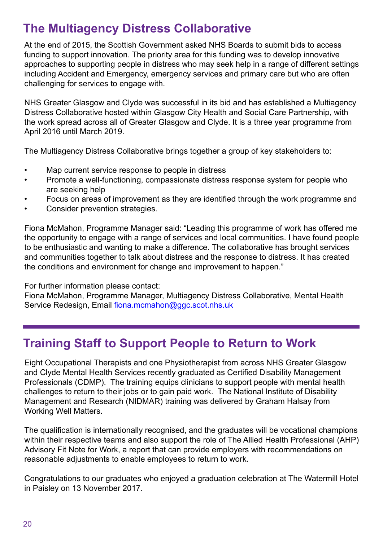# <span id="page-19-0"></span>**The Multiagency Distress Collaborative**

At the end of 2015, the Scottish Government asked NHS Boards to submit bids to access funding to support innovation. The priority area for this funding was to develop innovative approaches to supporting people in distress who may seek help in a range of different settings including Accident and Emergency, emergency services and primary care but who are often challenging for services to engage with.

NHS Greater Glasgow and Clyde was successful in its bid and has established a Multiagency Distress Collaborative hosted within Glasgow City Health and Social Care Partnership, with the work spread across all of Greater Glasgow and Clyde. It is a three year programme from April 2016 until March 2019.

The Multiagency Distress Collaborative brings together a group of key stakeholders to:

- Map current service response to people in distress
- Promote a well-functioning, compassionate distress response system for people who are seeking help
- Focus on areas of improvement as they are identified through the work programme and
- Consider prevention strategies.

Fiona McMahon, Programme Manager said: "Leading this programme of work has offered me the opportunity to engage with a range of services and local communities. I have found people to be enthusiastic and wanting to make a difference. The collaborative has brought services and communities together to talk about distress and the response to distress. It has created the conditions and environment for change and improvement to happen."

For further information please contact:

Fiona McMahon, Programme Manager, Multiagency Distress Collaborative, Mental Health Service Redesign, Email fiona.mcmahon@ggc.scot.nhs.uk

# **Training Staff to Support People to Return to Work**

Eight Occupational Therapists and one Physiotherapist from across NHS Greater Glasgow and Clyde Mental Health Services recently graduated as Certified Disability Management Professionals (CDMP). The training equips clinicians to support people with mental health challenges to return to their jobs or to gain paid work. The National Institute of Disability Management and Research (NIDMAR) training was delivered by Graham Halsay from Working Well Matters.

The qualification is internationally recognised, and the graduates will be vocational champions within their respective teams and also support the role of The Allied Health Professional (AHP) Advisory Fit Note for Work, a report that can provide employers with recommendations on reasonable adjustments to enable employees to return to work.

Congratulations to our graduates who enjoyed a graduation celebration at The Watermill Hotel in Paisley on 13 November 2017.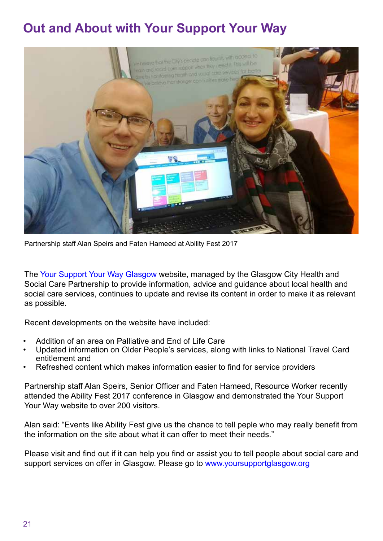# <span id="page-20-0"></span>**Out and About with Your Support Your Way**

![](_page_20_Picture_1.jpeg)

Partnership staff Alan Speirs and Faten Hameed at Ability Fest 2017

The [Your Support Your Way Glasgow](https://www.yoursupportglasgow.org/homepage) website, managed by the Glasgow City Health and Social Care Partnership to provide information, advice and guidance about local health and social care services, continues to update and revise its content in order to make it as relevant as possible.

Recent developments on the website have included:

- Addition of an area on [Palliative and End of Life Care](https://www.yoursupportglasgow.org/glasgow-homepage/pages/palliative-and-end-of-life-care/palliative-and-end-of-life-care/)
- Updated information on Older People's services, along with links to National Travel Card entitlement and
- Refreshed content which makes information easier to find for service providers

Partnership staff Alan Speirs, Senior Officer and Faten Hameed, Resource Worker recently attended the Ability Fest 2017 conference in Glasgow and demonstrated the Your Support Your Way website to over 200 visitors.

Alan said: "Events like Ability Fest give us the chance to tell peple who may really benefit from the information on the site about what it can offer to meet their needs."

Please visit and find out if it can help you find or assist you to tell people about social care and support services on offer in Glasgow. Please go to [www.yoursupportglasgow.org](https://www.yoursupportglasgow.org/homepage)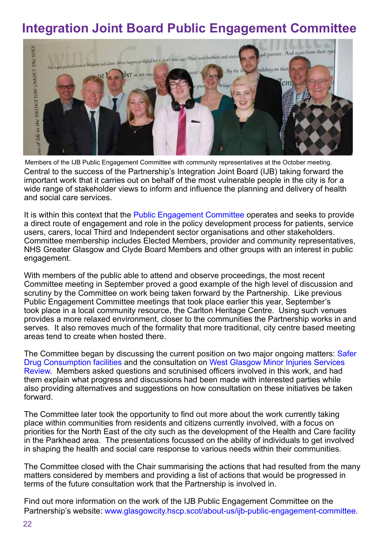# <span id="page-21-0"></span>**Integration Joint Board Public Engagement Committee**

![](_page_21_Picture_1.jpeg)

Central to the success of the Partnership's Integration Joint Board (IJB) taking forward the important work that it carries out on behalf of the most vulnerable people in the city is for a wide range of stakeholder views to inform and influence the planning and delivery of health and social care services. Members of the IJB Public Engagement Committee with community representatives at the October meeting.

It is within this context that the [Public Engagement Committee](https://glasgowcity.hscp.scot/about-us/ijb-public-engagement-committee) operates and seeks to provide a direct route of engagement and role in the policy development process for patients, service users, carers, local Third and Independent sector organisations and other stakeholders. Committee membership includes Elected Members, provider and community representatives, NHS Greater Glasgow and Clyde Board Members and other groups with an interest in public engagement.

With members of the public able to attend and observe proceedings, the most recent Committee meeting in September proved a good example of the high level of discussion and scrutiny by the Committee on work being taken forward by the Partnership. Like previous Public Engagement Committee meetings that took place earlier this year, September's took place in a local community resource, the Carlton Heritage Centre. Using such venues provides a more relaxed environment, closer to the communities the Partnership works in and serves. It also removes much of the formality that more traditional, city centre based meeting areas tend to create when hosted there.

The Committee began by discussing the current position on two major ongoing matters: Safer [Drug Consumption facilities a](https://glasgowcity.hscp.scot/sites/default/files/publications/ITEM%20No%2006%20-%20SDCF%20-%20Engagement%20Activity.pdf)nd the consultation on [West Glasgow Minor Injuries Services](https://glasgowcity.hscp.scot/sites/default/files/publications/ITEM%20No%2005%20-%20%20West%20Glasgow%20Minor%20Injuries%20Services%20Review%20-%20Public%20Engagament.pdf)  [Review](https://glasgowcity.hscp.scot/sites/default/files/publications/ITEM%20No%2005%20-%20%20West%20Glasgow%20Minor%20Injuries%20Services%20Review%20-%20Public%20Engagament.pdf). Members asked questions and scrutinised officers involved in this work, and had them explain what progress and discussions had been made with interested parties while also providing alternatives and suggestions on how consultation on these initiatives be taken forward.

The Committee later took the opportunity to find out more about the work currently taking place within communities from residents and citizens currently involved, with a focus on priorities for the North East of the city such as the development of the Health and Care facility in the Parkhead area. The presentations focussed on the ability of individuals to get involved in shaping the health and social care response to various needs within their communities.

The Committee closed with the Chair summarising the actions that had resulted from the many matters considered by members and providing a list of actions that would be progressed in terms of the future consultation work that the Partnership is involved in.

Find out more information on the work of the IJB Public Engagement Committee on the Partnership's website: [www.glasgowcity.hscp.scot/about-us/ijb-public-engagement-committee.](https://glasgowcity.hscp.scot/about-us/ijb-public-engagement-committee)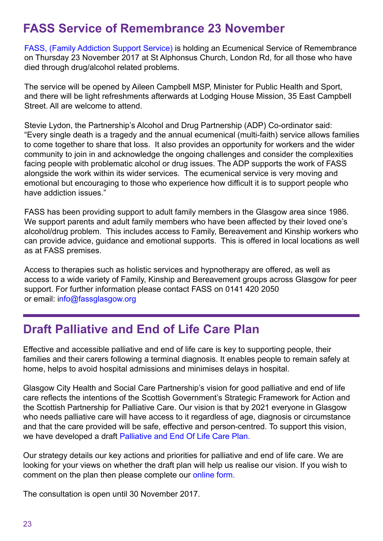## <span id="page-22-0"></span>**FASS Service of Remembrance 23 November**

[FASS, \(Family Addiction Support Service\)](http://fassglasgow.org/) is holding an Ecumenical Service of Remembrance on Thursday 23 November 2017 at St Alphonsus Church, London Rd, for all those who have died through drug/alcohol related problems.

The service will be opened by Aileen Campbell MSP, Minister for Public Health and Sport, and there will be light refreshments afterwards at Lodging House Mission, 35 East Campbell Street. All are welcome to attend.

Stevie Lydon, the Partnership's Alcohol and Drug Partnership (ADP) Co-ordinator said: "Every single death is a tragedy and the annual ecumenical (multi-faith) service allows families to come together to share that loss. It also provides an opportunity for workers and the wider community to join in and acknowledge the ongoing challenges and consider the complexities facing people with problematic alcohol or drug issues. The ADP supports the work of FASS alongside the work within its wider services. The ecumenical service is very moving and emotional but encouraging to those who experience how difficult it is to support people who have addiction issues."

FASS has been providing support to adult family members in the Glasgow area since 1986. We support parents and adult family members who have been affected by their loved one's alcohol/drug problem. This includes access to Family, Bereavement and Kinship workers who can provide advice, guidance and emotional supports. This is offered in local locations as well as at FASS premises.

Access to therapies such as holistic services and hypnotherapy are offered, as well as access to a wide variety of Family, Kinship and Bereavement groups across Glasgow for peer support. For further information please contact [FASS o](http://fassglasgow.org/)n 0141 420 2050 or email: [info@fassglasgow.org](mailto:info@fassglasgow.org)

#### **Draft Palliative and End of Life Care Plan**

Effective and accessible palliative and end of life care is key to supporting people, their families and their carers following a terminal diagnosis. It enables people to remain safely at home, helps to avoid hospital admissions and minimises delays in hospital.

Glasgow City Health and Social Care Partnership's vision for good palliative and end of life care reflects the intentions of the Scottish Government's Strategic Framework for Action and the Scottish Partnership for Palliative Care. Our vision is that by 2021 everyone in Glasgow who needs palliative care will have access to it regardless of age, diagnosis or circumstance and that the care provided will be safe, effective and person-centred. To support this vision, we have developed a draft [Palliative and End Of Life Care Plan.](https://glasgowcity.hscp.scot/sites/default/files/publications/ITEM%20No%2012%20-%20Draft%20Palliative%20and%20End%20of%20Life%20Care%20Plan.pdf) 

Our strategy details our key actions and priorities for palliative and end of life care. We are looking for your views on whether the draft plan will help us realise our vision. If you wish to comment on the plan then please complete our [online form.](https://www.yoursupportglasgow.org/form/pel#!/) 

The consultation is open until 30 November 2017.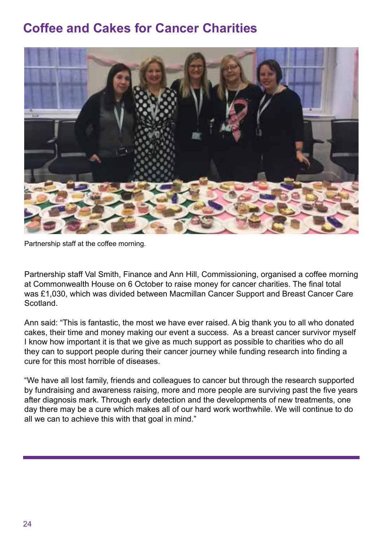# <span id="page-23-0"></span>**Coffee and Cakes for Cancer Charities**

![](_page_23_Picture_1.jpeg)

Partnership staff at the coffee morning.

Partnership staff Val Smith, Finance and Ann Hill, Commissioning, organised a coffee morning at Commonwealth House on 6 October to raise money for cancer charities. The final total was £1,030, which was divided between Macmillan Cancer Support and Breast Cancer Care Scotland.

Ann said: "This is fantastic, the most we have ever raised. A big thank you to all who donated cakes, their time and money making our event a success. As a breast cancer survivor myself I know how important it is that we give as much support as possible to charities who do all they can to support people during their cancer journey while funding research into finding a cure for this most horrible of diseases.

"We have all lost family, friends and colleagues to cancer but through the research supported by fundraising and awareness raising, more and more people are surviving past the five years after diagnosis mark. Through early detection and the developments of new treatments, one day there may be a cure which makes all of our hard work worthwhile. We will continue to do all we can to achieve this with that goal in mind."